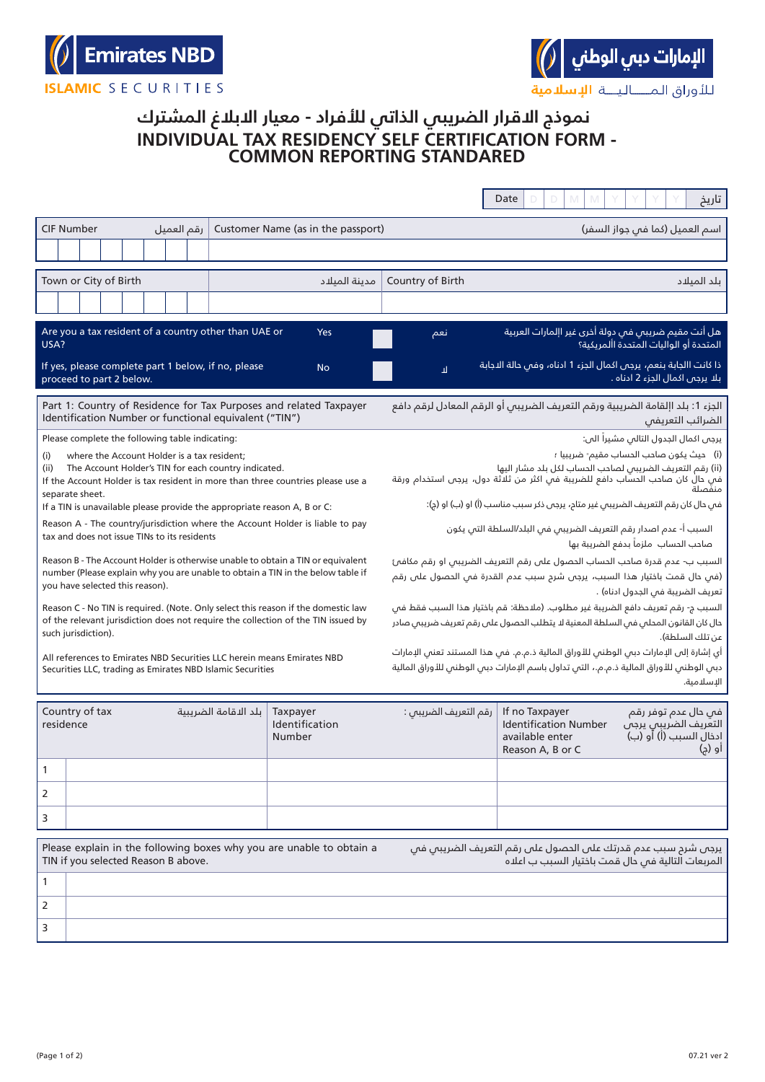



## **INDIVIDUAL TAX RESIDENCY SELF CERTIFICATION FORM - COMMON REPORTING STANDARED نموذج االقرار الضريبي الذاتي لألفراد - معيار االبالغ المشترك**

|                                                                                                                                                                                                                                                                             |                                      |                                                                                                                                                                                                                                   | Date<br>تاريخ                                                                                                                                                                                                                                     |  |
|-----------------------------------------------------------------------------------------------------------------------------------------------------------------------------------------------------------------------------------------------------------------------------|--------------------------------------|-----------------------------------------------------------------------------------------------------------------------------------------------------------------------------------------------------------------------------------|---------------------------------------------------------------------------------------------------------------------------------------------------------------------------------------------------------------------------------------------------|--|
| <b>CIF Number</b><br>رقم العميل                                                                                                                                                                                                                                             | Customer Name (as in the passport)   |                                                                                                                                                                                                                                   | اسم العميل (كما فى جواز السفر)                                                                                                                                                                                                                    |  |
|                                                                                                                                                                                                                                                                             |                                      |                                                                                                                                                                                                                                   |                                                                                                                                                                                                                                                   |  |
| Town or City of Birth                                                                                                                                                                                                                                                       | مدىنة المىلاد                        | Country of Birth                                                                                                                                                                                                                  | ىلد المىلاد                                                                                                                                                                                                                                       |  |
|                                                                                                                                                                                                                                                                             |                                      |                                                                                                                                                                                                                                   |                                                                                                                                                                                                                                                   |  |
| هل أنت مقيم ضريبي في دولة أخرى غير اإلمارات العربية<br>Are you a tax resident of a country other than UAE or<br><b>Yes</b><br>نعم<br>المتحدة أو الواليات المتحدة األمريكية؟<br>USA?                                                                                         |                                      |                                                                                                                                                                                                                                   |                                                                                                                                                                                                                                                   |  |
| If yes, please complete part 1 below, if no, please<br>proceed to part 2 below.                                                                                                                                                                                             | <b>No</b>                            | Щ                                                                                                                                                                                                                                 | ذا كانت االجابة بنعم، يرجى اكمال الجزء 1 ادناه، وفى حالة الاجابة<br>بلا يرجى اكمال الجزء 2 ادناه .                                                                                                                                                |  |
| Part 1: Country of Residence for Tax Purposes and related Taxpayer<br>Identification Number or functional equivalent ("TIN")                                                                                                                                                |                                      |                                                                                                                                                                                                                                   | الجزء 1: بلد اإلقامة الضريبية ورقم التعريف الضريبس أو الرقم المعادل لرقم دافع<br>الضرائب التعريفى                                                                                                                                                 |  |
| Please complete the following table indicating:<br>(i)<br>where the Account Holder is a tax resident;<br>The Account Holder's TIN for each country indicated.<br>(ii)<br>If the Account Holder is tax resident in more than three countries please use a<br>separate sheet. |                                      |                                                                                                                                                                                                                                   | يرجى اكمال الجدول التالى مشيراً الى:<br>(i) حيث يكون صاحب الحساب مقيم <sup>ِ.</sup> ضريبيا ؛<br>(ii) رقم التعريف الضريبي لصاحب الحساب لكل بلد مشار اليها<br>في حال كان صاحب الحساب دافع للضريبة في اكثر من ثلاثة دول، يرجى استخدام ورقة<br>منفصلة |  |
| If a TIN is unavailable please provide the appropriate reason A, B or C:<br>Reason A - The country/jurisdiction where the Account Holder is liable to pay<br>tax and does not issue TINs to its residents                                                                   |                                      | فمي حال كان رقم التعريف الضريبمي غير متام، يرجم ذكر سبب مناسب (أ) او (ب) او (ج):<br>السبب أ- عدم اصدار رقم التعريف الضريبي فىي البلد/السلطة التي يكون                                                                             |                                                                                                                                                                                                                                                   |  |
| Reason B - The Account Holder is otherwise unable to obtain a TIN or equivalent<br>number (Please explain why you are unable to obtain a TIN in the below table if<br>you have selected this reason).                                                                       |                                      | صاحب الحساب  ملزماً بدفع الضريبة بها<br>السبب ب- عدم قدرة صاحب الحساب الحصول على رقم التعريف الضريبى او رقم مكافئ<br>(فس حال قمت باختيار هذا السبب، يرجس شرح سبب عدم القدرة في الحصول على رقم<br>تعريف الضريبة فم الجدول ادناه) . |                                                                                                                                                                                                                                                   |  |
| Reason C - No TIN is required. (Note. Only select this reason if the domestic law<br>of the relevant jurisdiction does not require the collection of the TIN issued by<br>such jurisdiction).                                                                               |                                      | السبب ج- رقم تعريف دافع الضريبة غير مطلوب. (ملاحظة: قم باختيار هذا السبب فقط فم<br>دال كان القانون المحلى في السلطة المعنية لا يتطلب الحصول على رقم تعريف ضريبي صادر<br>عن تلك السلطة).                                           |                                                                                                                                                                                                                                                   |  |
| All references to Emirates NBD Securities LLC herein means Emirates NBD<br>Securities LLC, trading as Emirates NBD Islamic Securities                                                                                                                                       |                                      | أي إشارة إلى الإمارات دبي الوطني للأوراق المالية ذ.م.م. في هذا المستند تعني الإمارات<br>دبى الوطنى للأوراق المالية ذ.م.م.، التي تداول باسم الإمارات دبى الوطني للأوراق المالية<br>الإسلامية.                                      |                                                                                                                                                                                                                                                   |  |
| Country of tax<br>ىلد الاقامة الضربيبة<br>residence                                                                                                                                                                                                                         | Taxpayer<br>Identification<br>Number | رقم التعريف الضريبى :                                                                                                                                                                                                             | If no Taxpayer<br>فی حال عدم توفر رقم<br><b>Identification Number</b><br>التعريف الضريبى يرجى<br>ادخال السبب (أ) أو (ب)<br>available enter<br>أو (ج)<br>Reason A, B or C                                                                          |  |
| 1                                                                                                                                                                                                                                                                           |                                      |                                                                                                                                                                                                                                   |                                                                                                                                                                                                                                                   |  |
| 2                                                                                                                                                                                                                                                                           |                                      |                                                                                                                                                                                                                                   |                                                                                                                                                                                                                                                   |  |
| 3                                                                                                                                                                                                                                                                           |                                      |                                                                                                                                                                                                                                   |                                                                                                                                                                                                                                                   |  |
| Please explain in the following boxes why you are unable to obtain a<br>يرجص شرم سبب عدم قدرتك على الحصول على رقم التعريف الضريبى فى<br>TIN if you selected Reason B above.<br>المربعات التالية فم حال قمت باختيار السبب ب اعلاه                                            |                                      |                                                                                                                                                                                                                                   |                                                                                                                                                                                                                                                   |  |
| 1                                                                                                                                                                                                                                                                           |                                      |                                                                                                                                                                                                                                   |                                                                                                                                                                                                                                                   |  |
| 2                                                                                                                                                                                                                                                                           |                                      |                                                                                                                                                                                                                                   |                                                                                                                                                                                                                                                   |  |
| 3                                                                                                                                                                                                                                                                           |                                      |                                                                                                                                                                                                                                   |                                                                                                                                                                                                                                                   |  |